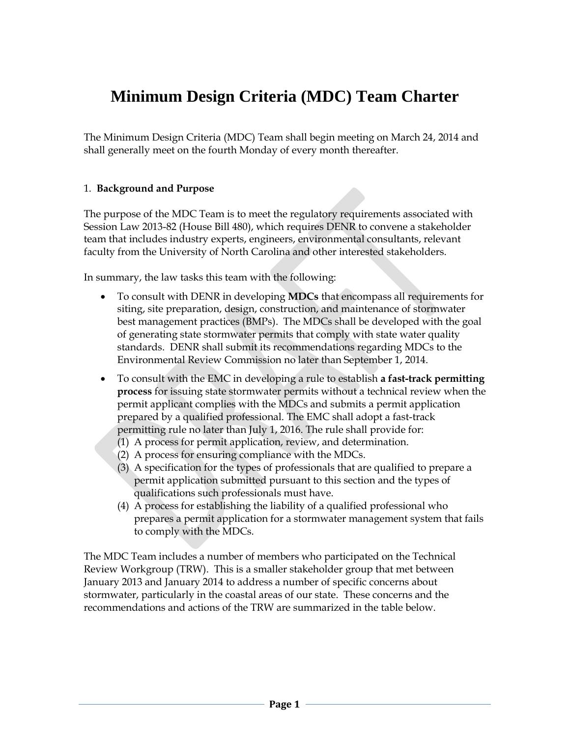# **Minimum Design Criteria (MDC) Team Charter**

The Minimum Design Criteria (MDC) Team shall begin meeting on March 24, 2014 and shall generally meet on the fourth Monday of every month thereafter.

#### 1. **Background and Purpose**

The purpose of the MDC Team is to meet the regulatory requirements associated with Session Law 2013-82 (House Bill 480), which requires DENR to convene a stakeholder team that includes industry experts, engineers, environmental consultants, relevant faculty from the University of North Carolina and other interested stakeholders.

In summary, the law tasks this team with the following:

- To consult with DENR in developing **MDCs** that encompass all requirements for siting, site preparation, design, construction, and maintenance of stormwater best management practices (BMPs). The MDCs shall be developed with the goal of generating state stormwater permits that comply with state water quality standards. DENR shall submit its recommendations regarding MDCs to the Environmental Review Commission no later than September 1, 2014.
- To consult with the EMC in developing a rule to establish **a fast-track permitting process** for issuing state stormwater permits without a technical review when the permit applicant complies with the MDCs and submits a permit application prepared by a qualified professional. The EMC shall adopt a fast-track permitting rule no later than July 1, 2016. The rule shall provide for:
	- (1) A process for permit application, review, and determination.
	- (2) A process for ensuring compliance with the MDCs.
	- (3) A specification for the types of professionals that are qualified to prepare a permit application submitted pursuant to this section and the types of qualifications such professionals must have.
	- (4) A process for establishing the liability of a qualified professional who prepares a permit application for a stormwater management system that fails to comply with the MDCs.

The MDC Team includes a number of members who participated on the Technical Review Workgroup (TRW). This is a smaller stakeholder group that met between January 2013 and January 2014 to address a number of specific concerns about stormwater, particularly in the coastal areas of our state. These concerns and the recommendations and actions of the TRW are summarized in the table below.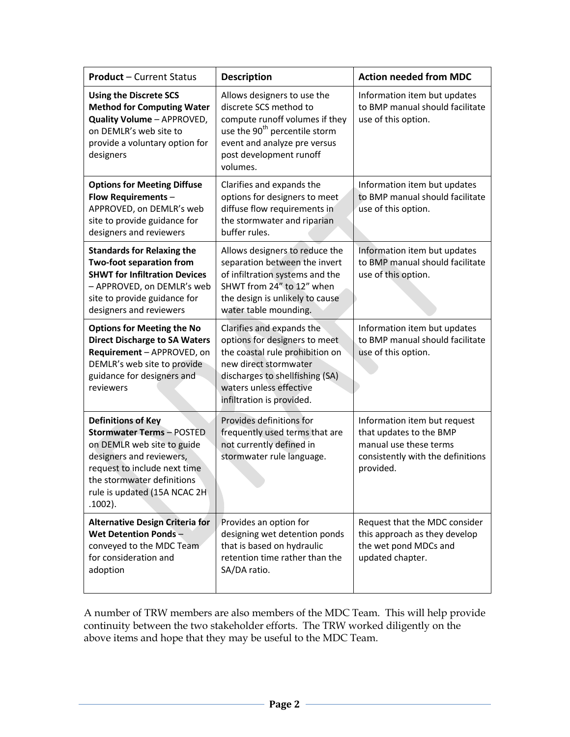| <b>Product - Current Status</b>                                                                                                                                                                                                     | <b>Description</b>                                                                                                                                                                                                | <b>Action needed from MDC</b>                                                                                                       |
|-------------------------------------------------------------------------------------------------------------------------------------------------------------------------------------------------------------------------------------|-------------------------------------------------------------------------------------------------------------------------------------------------------------------------------------------------------------------|-------------------------------------------------------------------------------------------------------------------------------------|
| <b>Using the Discrete SCS</b><br><b>Method for Computing Water</b><br>Quality Volume - APPROVED,<br>on DEMLR's web site to<br>provide a voluntary option for<br>designers                                                           | Allows designers to use the<br>discrete SCS method to<br>compute runoff volumes if they<br>use the 90 <sup>th</sup> percentile storm<br>event and analyze pre versus<br>post development runoff<br>volumes.       | Information item but updates<br>to BMP manual should facilitate<br>use of this option.                                              |
| <b>Options for Meeting Diffuse</b><br>Flow Requirements-<br>APPROVED, on DEMLR's web<br>site to provide guidance for<br>designers and reviewers                                                                                     | Clarifies and expands the<br>options for designers to meet<br>diffuse flow requirements in<br>the stormwater and riparian<br>buffer rules.                                                                        | Information item but updates<br>to BMP manual should facilitate<br>use of this option.                                              |
| <b>Standards for Relaxing the</b><br><b>Two-foot separation from</b><br><b>SHWT for Infiltration Devices</b><br>- APPROVED, on DEMLR's web<br>site to provide guidance for<br>designers and reviewers                               | Allows designers to reduce the<br>separation between the invert<br>of infiltration systems and the<br>SHWT from 24" to 12" when<br>the design is unlikely to cause<br>water table mounding.                       | Information item but updates<br>to BMP manual should facilitate<br>use of this option.                                              |
| <b>Options for Meeting the No</b><br><b>Direct Discharge to SA Waters</b><br>Requirement - APPROVED, on<br>DEMLR's web site to provide<br>guidance for designers and<br>reviewers                                                   | Clarifies and expands the<br>options for designers to meet<br>the coastal rule prohibition on<br>new direct stormwater<br>discharges to shellfishing (SA)<br>waters unless effective<br>infiltration is provided. | Information item but updates<br>to BMP manual should facilitate<br>use of this option.                                              |
| <b>Definitions of Key</b><br><b>Stormwater Terms - POSTED</b><br>on DEMLR web site to guide<br>designers and reviewers,<br>request to include next time<br>the stormwater definitions<br>rule is updated (15A NCAC 2H<br>$.1002$ ). | Provides definitions for<br>frequently used terms that are<br>not currently defined in<br>stormwater rule language.                                                                                               | Information item but request<br>that updates to the BMP<br>manual use these terms<br>consistently with the definitions<br>provided. |
| <b>Alternative Design Criteria for</b><br><b>Wet Detention Ponds-</b><br>conveyed to the MDC Team<br>for consideration and<br>adoption                                                                                              | Provides an option for<br>designing wet detention ponds<br>that is based on hydraulic<br>retention time rather than the<br>SA/DA ratio.                                                                           | Request that the MDC consider<br>this approach as they develop<br>the wet pond MDCs and<br>updated chapter.                         |

A number of TRW members are also members of the MDC Team. This will help provide continuity between the two stakeholder efforts. The TRW worked diligently on the above items and hope that they may be useful to the MDC Team.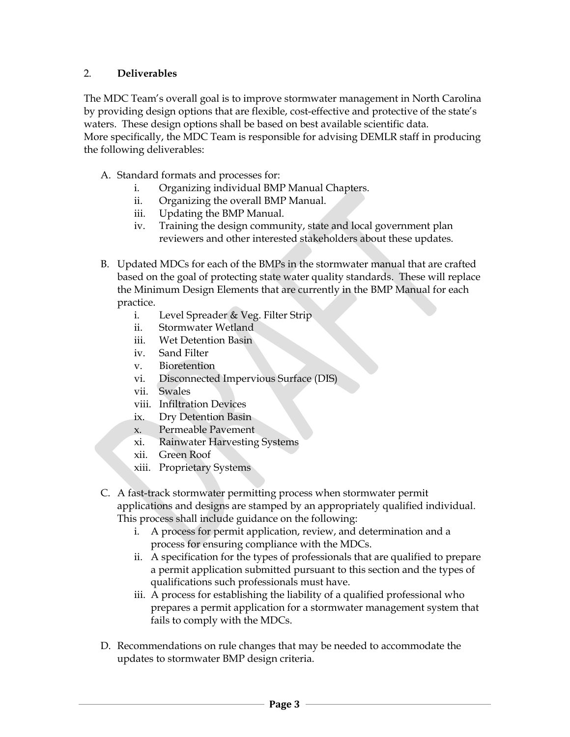#### 2. **Deliverables**

The MDC Team's overall goal is to improve stormwater management in North Carolina by providing design options that are flexible, cost-effective and protective of the state's waters. These design options shall be based on best available scientific data. More specifically, the MDC Team is responsible for advising DEMLR staff in producing the following deliverables:

- A. Standard formats and processes for:
	- i. Organizing individual BMP Manual Chapters.
	- ii. Organizing the overall BMP Manual.
	- iii. Updating the BMP Manual.
	- iv. Training the design community, state and local government plan reviewers and other interested stakeholders about these updates.
- B. Updated MDCs for each of the BMPs in the stormwater manual that are crafted based on the goal of protecting state water quality standards. These will replace the Minimum Design Elements that are currently in the BMP Manual for each practice.
	- i. Level [Spreader](http://portal.ncdenr.org/c/document_library/get_file?uuid=5d698f00-caaa-4f64-ac1f-d1561b4fd53d&groupId=38364) & Veg. Filter Strip
	- ii. [Stormwater](http://portal.ncdenr.org/c/document_library/get_file?uuid=ed7e696f-eb72-473d-b81f-cc7df68d10ec&groupId=38364) Wetland
	- iii. Wet [Detention](http://portal.ncdenr.org/c/document_library/get_file?uuid=ba49404a-b76e-4ed4-bf09-80a12ab39a29&groupId=38364) Basin
	- iv. Sand [Filter](http://portal.ncdenr.org/c/document_library/get_file?uuid=d81102a7-75ef-403c-97e6-e3a309e6a2ab&groupId=38364)
	- v. [Bioretention](http://portal.ncdenr.org/c/document_library/get_file?uuid=199a62d4-3066-4e24-a3f1-088c6932483a&groupId=38364)
	- vi. Disconnected Impervious Surface (DIS)
	- vii. Swales
	- viii. Infiltration Devices
	- ix. Dry Detention Basin
	- x. Permeable Pavement
	- xi. Rainwater Harvesting Systems
	- xii. Green Roof
	- xiii. Proprietary Systems
- C. A fast-track stormwater permitting process when stormwater permit applications and designs are stamped by an appropriately qualified individual. This process shall include guidance on the following:
	- i. A process for permit application, review, and determination and a process for ensuring compliance with the MDCs.
	- ii. A specification for the types of professionals that are qualified to prepare a permit application submitted pursuant to this section and the types of qualifications such professionals must have.
	- iii. A process for establishing the liability of a qualified professional who prepares a permit application for a stormwater management system that fails to comply with the MDCs.
- D. Recommendations on rule changes that may be needed to accommodate the updates to stormwater BMP design criteria.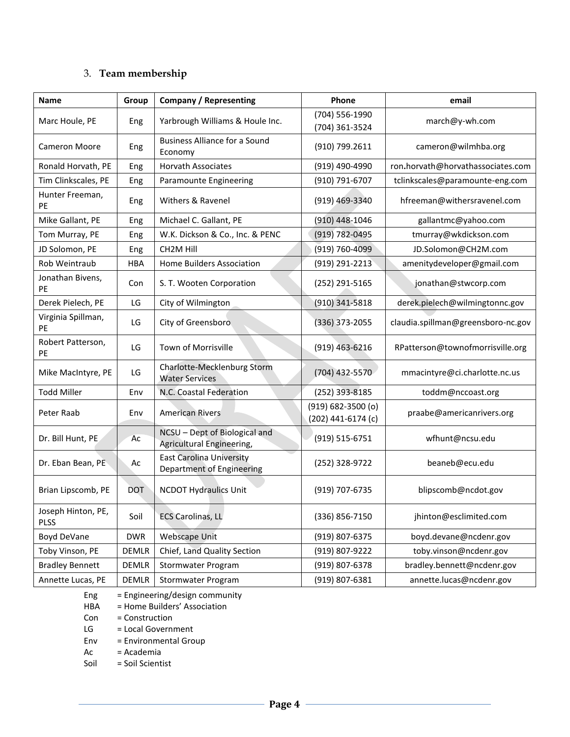## 3. **Team membership**

| <b>Name</b>                       | Group      | <b>Company / Representing</b>                                | Phone                                        | email                              |
|-----------------------------------|------------|--------------------------------------------------------------|----------------------------------------------|------------------------------------|
| Marc Houle, PE                    | Eng        | Yarbrough Williams & Houle Inc.                              | (704) 556-1990<br>(704) 361-3524             | march@y-wh.com                     |
| <b>Cameron Moore</b>              | Eng        | <b>Business Alliance for a Sound</b><br>Economy              | (910) 799.2611                               | cameron@wilmhba.org                |
| Ronald Horvath, PE                | Eng        | <b>Horvath Associates</b>                                    | (919) 490-4990                               | ron.horvath@horvathassociates.com  |
| Tim Clinkscales, PE               | Eng        | Paramounte Engineering                                       | (910) 791-6707                               | tclinkscales@paramounte-eng.com    |
| Hunter Freeman,<br>PE             | Eng        | Withers & Ravenel                                            | (919) 469-3340                               | hfreeman@withersravenel.com        |
| Mike Gallant, PE                  | Eng        | Michael C. Gallant, PE                                       | (910) 448-1046                               | gallantmc@yahoo.com                |
| Tom Murray, PE                    | Eng        | W.K. Dickson & Co., Inc. & PENC                              | $(919) 782 - 0495$                           | tmurray@wkdickson.com              |
| JD Solomon, PE                    | Eng        | CH <sub>2</sub> M Hill                                       | (919) 760-4099                               | JD.Solomon@CH2M.com                |
| Rob Weintraub                     | <b>HBA</b> | Home Builders Association                                    | (919) 291-2213                               | amenitydeveloper@gmail.com         |
| Jonathan Bivens,<br>PE            | Con        | S. T. Wooten Corporation                                     | (252) 291-5165                               | jonathan@stwcorp.com               |
| Derek Pielech, PE                 | LG         | City of Wilmington                                           | $(910)$ 341-5818                             | derek.pielech@wilmingtonnc.gov     |
| Virginia Spillman,<br>PE          | LG         | City of Greensboro                                           | (336) 373-2055                               | claudia.spillman@greensboro-nc.gov |
| Robert Patterson,<br>PE           | LG         | Town of Morrisville                                          | (919) 463-6216                               | RPatterson@townofmorrisville.org   |
| Mike MacIntyre, PE                | LG         | Charlotte-Mecklenburg Storm<br><b>Water Services</b>         | (704) 432-5570                               | mmacintyre@ci.charlotte.nc.us      |
| <b>Todd Miller</b>                | Env        | N.C. Coastal Federation                                      | (252) 393-8185                               | toddm@nccoast.org                  |
| Peter Raab                        | Env        | <b>American Rivers</b>                                       | $(919) 682 - 3500$ (o)<br>(202) 441-6174 (c) | praabe@americanrivers.org          |
| Dr. Bill Hunt, PE                 | Ac         | NCSU - Dept of Biological and<br>Agricultural Engineering,   | (919) 515-6751                               | wfhunt@ncsu.edu                    |
| Dr. Eban Bean, PE                 | Ac         | <b>East Carolina University</b><br>Department of Engineering | (252) 328-9722                               | beaneb@ecu.edu                     |
| Brian Lipscomb, PE                | <b>DOT</b> | <b>NCDOT Hydraulics Unit</b>                                 | (919) 707-6735                               | blipscomb@ncdot.gov                |
| Joseph Hinton, PE,<br><b>PLSS</b> | Soil       | <b>ECS Carolinas, LL</b>                                     | (336) 856-7150                               | jhinton@esclimited.com             |
| Boyd DeVane                       | <b>DWR</b> | <b>Webscape Unit</b>                                         | (919) 807-6375                               | boyd.devane@ncdenr.gov             |
| Toby Vinson, PE                   | DEMLR      | Chief, Land Quality Section                                  | (919) 807-9222                               | toby.vinson@ncdenr.gov             |
| <b>Bradley Bennett</b>            | DEMLR      | Stormwater Program                                           | (919) 807-6378                               | bradley.bennett@ncdenr.gov         |
| Annette Lucas, PE                 | DEMLR      | Stormwater Program                                           | (919) 807-6381                               | annette.lucas@ncdenr.gov           |

Eng = Engineering/design community<br>HBA = Home Builders' Association

 $=$  Home Builders' Association

Con = Construction

- LG = Local Government<br>Env = Environmental Gro
- = Environmental Group
- Ac = Academia

Soil = Soil Scientist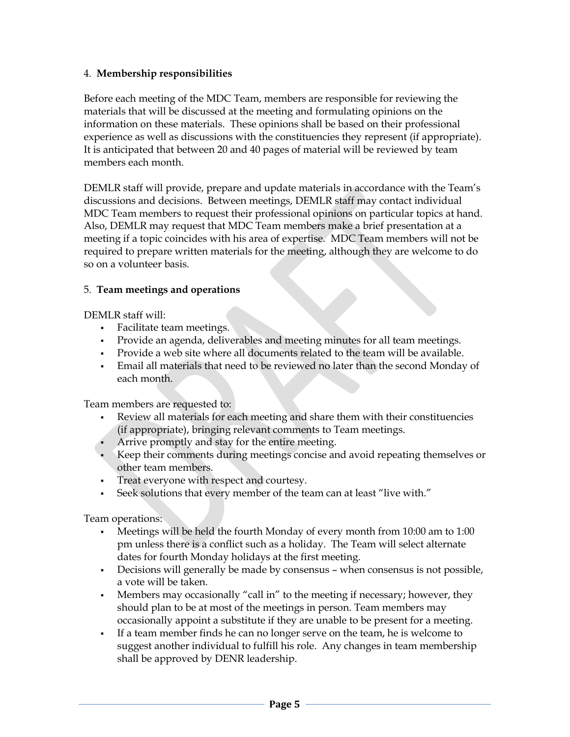#### 4. **Membership responsibilities**

Before each meeting of the MDC Team, members are responsible for reviewing the materials that will be discussed at the meeting and formulating opinions on the information on these materials. These opinions shall be based on their professional experience as well as discussions with the constituencies they represent (if appropriate). It is anticipated that between 20 and 40 pages of material will be reviewed by team members each month.

DEMLR staff will provide, prepare and update materials in accordance with the Team's discussions and decisions. Between meetings, DEMLR staff may contact individual MDC Team members to request their professional opinions on particular topics at hand. Also, DEMLR may request that MDC Team members make a brief presentation at a meeting if a topic coincides with his area of expertise. MDC Team members will not be required to prepare written materials for the meeting, although they are welcome to do so on a volunteer basis.

#### 5. **Team meetings and operations**

DEMLR staff will:

- Facilitate team meetings.
- Provide an agenda, deliverables and meeting minutes for all team meetings.
- Provide a web site where all documents related to the team will be available.
- Email all materials that need to be reviewed no later than the second Monday of each month.

Team members are requested to:

- Review all materials for each meeting and share them with their constituencies (if appropriate), bringing relevant comments to Team meetings.
- Arrive promptly and stay for the entire meeting.
- Keep their comments during meetings concise and avoid repeating themselves or other team members.
- Treat everyone with respect and courtesy.
- Seek solutions that every member of the team can at least "live with."

Team operations:

- Meetings will be held the fourth Monday of every month from 10:00 am to 1:00 pm unless there is a conflict such as a holiday. The Team will select alternate dates for fourth Monday holidays at the first meeting.
- Decisions will generally be made by consensus when consensus is not possible, a vote will be taken.
- Members may occasionally "call in" to the meeting if necessary; however, they should plan to be at most of the meetings in person. Team members may occasionally appoint a substitute if they are unable to be present for a meeting.
- If a team member finds he can no longer serve on the team, he is welcome to suggest another individual to fulfill his role. Any changes in team membership shall be approved by DENR leadership.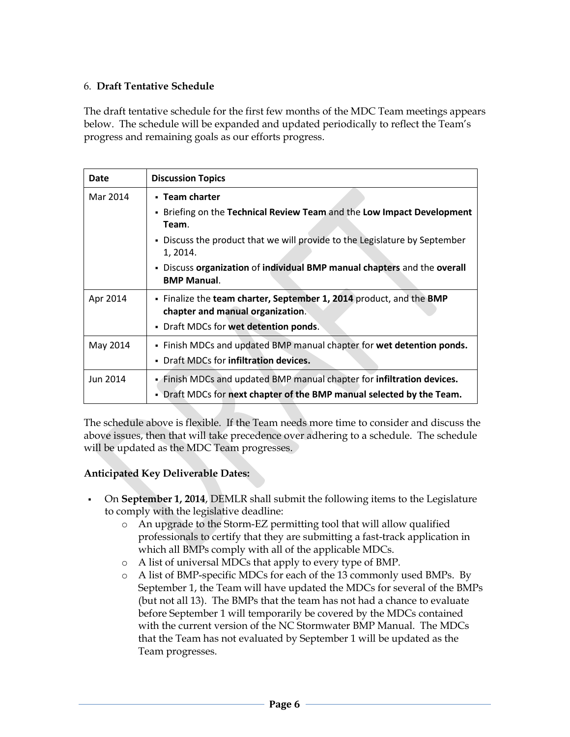#### 6. **Draft Tentative Schedule**

The draft tentative schedule for the first few months of the MDC Team meetings appears below. The schedule will be expanded and updated periodically to reflect the Team's progress and remaining goals as our efforts progress.

| Date     | <b>Discussion Topics</b>                                                                                                                                                                                                                                                                      |
|----------|-----------------------------------------------------------------------------------------------------------------------------------------------------------------------------------------------------------------------------------------------------------------------------------------------|
| Mar 2014 | • Team charter<br>- Briefing on the Technical Review Team and the Low Impact Development<br>Team.<br>. Discuss the product that we will provide to the Legislature by September<br>1, 2014.<br>- Discuss organization of individual BMP manual chapters and the overall<br><b>BMP Manual.</b> |
| Apr 2014 | . Finalize the team charter, September 1, 2014 product, and the BMP<br>chapter and manual organization.<br>Draft MDCs for wet detention ponds.                                                                                                                                                |
| May 2014 | - Finish MDCs and updated BMP manual chapter for wet detention ponds.<br>Draft MDCs for infiltration devices.                                                                                                                                                                                 |
| Jun 2014 | Finish MDCs and updated BMP manual chapter for infiltration devices.<br>. Draft MDCs for next chapter of the BMP manual selected by the Team.                                                                                                                                                 |

The schedule above is flexible. If the Team needs more time to consider and discuss the above issues, then that will take precedence over adhering to a schedule. The schedule will be updated as the MDC Team progresses.

### **Anticipated Key Deliverable Dates:**

- On **September 1, 2014**, DEMLR shall submit the following items to the Legislature to comply with the legislative deadline:
	- o An upgrade to the Storm-EZ permitting tool that will allow qualified professionals to certify that they are submitting a fast-track application in which all BMPs comply with all of the applicable MDCs.
	- o A list of universal MDCs that apply to every type of BMP.
	- o A list of BMP-specific MDCs for each of the 13 commonly used BMPs. By September 1, the Team will have updated the MDCs for several of the BMPs (but not all 13). The BMPs that the team has not had a chance to evaluate before September 1 will temporarily be covered by the MDCs contained with the current version of the NC Stormwater BMP Manual. The MDCs that the Team has not evaluated by September 1 will be updated as the Team progresses.